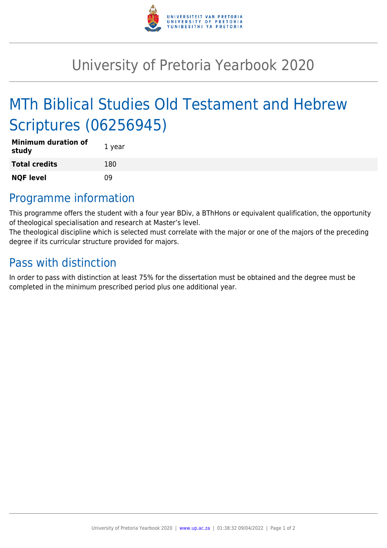

## University of Pretoria Yearbook 2020

# MTh Biblical Studies Old Testament and Hebrew Scriptures (06256945)

| <b>Minimum duration of</b><br>study | 1 year |
|-------------------------------------|--------|
| <b>Total credits</b>                | 180    |
| <b>NQF level</b>                    | nq     |

#### Programme information

This programme offers the student with a four year BDiv, a BThHons or equivalent qualification, the opportunity of theological specialisation and research at Master's level.

The theological discipline which is selected must correlate with the major or one of the majors of the preceding degree if its curricular structure provided for majors.

#### Pass with distinction

In order to pass with distinction at least 75% for the dissertation must be obtained and the degree must be completed in the minimum prescribed period plus one additional year.